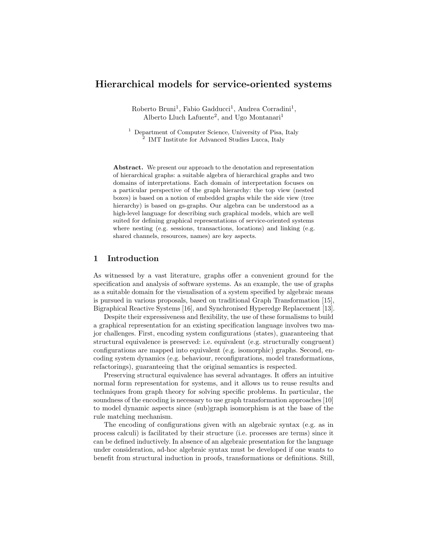# Hierarchical models for service-oriented systems

Roberto Bruni<sup>1</sup>, Fabio Gadducci<sup>1</sup>, Andrea Corradini<sup>1</sup>, Alberto Lluch Lafuente<sup>2</sup>, and Ugo Montanari<sup>1</sup>

<sup>1</sup> Department of Computer Science, University of Pisa, Italy 2 IMT Institute for Advanced Studies Lucca, Italy

Abstract. We present our approach to the denotation and representation of hierarchical graphs: a suitable algebra of hierarchical graphs and two domains of interpretations. Each domain of interpretation focuses on a particular perspective of the graph hierarchy: the top view (nested boxes) is based on a notion of embedded graphs while the side view (tree hierarchy) is based on gs-graphs. Our algebra can be understood as a high-level language for describing such graphical models, which are well suited for defining graphical representations of service-oriented systems where nesting (e.g. sessions, transactions, locations) and linking (e.g. shared channels, resources, names) are key aspects.

### 1 Introduction

As witnessed by a vast literature, graphs offer a convenient ground for the specification and analysis of software systems. As an example, the use of graphs as a suitable domain for the visualisation of a system specified by algebraic means is pursued in various proposals, based on traditional Graph Transformation [15], Bigraphical Reactive Systems [16], and Synchronised Hyperedge Replacement [13].

Despite their expressiveness and flexibility, the use of these formalisms to build a graphical representation for an existing specification language involves two major challenges. First, encoding system configurations (states), guaranteeing that structural equivalence is preserved: i.e. equivalent (e.g. structurally congruent) configurations are mapped into equivalent (e.g. isomorphic) graphs. Second, encoding system dynamics (e.g. behaviour, reconfigurations, model transformations, refactorings), guaranteeing that the original semantics is respected.

Preserving structural equivalence has several advantages. It offers an intuitive normal form representation for systems, and it allows us to reuse results and techniques from graph theory for solving specific problems. In particular, the soundness of the encoding is necessary to use graph transformation approaches [10] to model dynamic aspects since (sub)graph isomorphism is at the base of the rule matching mechanism.

The encoding of configurations given with an algebraic syntax (e.g. as in process calculi) is facilitated by their structure (i.e. processes are terms) since it can be defined inductively. In absence of an algebraic presentation for the language under consideration, ad-hoc algebraic syntax must be developed if one wants to benefit from structural induction in proofs, transformations or definitions. Still,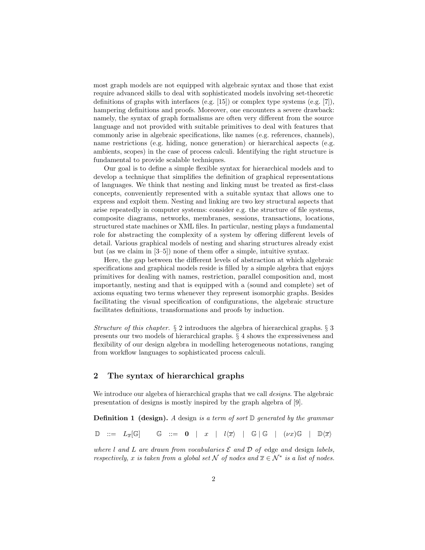most graph models are not equipped with algebraic syntax and those that exist require advanced skills to deal with sophisticated models involving set-theoretic definitions of graphs with interfaces (e.g. [15]) or complex type systems (e.g. [7]), hampering definitions and proofs. Moreover, one encounters a severe drawback: namely, the syntax of graph formalisms are often very different from the source language and not provided with suitable primitives to deal with features that commonly arise in algebraic specifications, like names (e.g. references, channels), name restrictions (e.g. hiding, nonce generation) or hierarchical aspects (e.g. ambients, scopes) in the case of process calculi. Identifying the right structure is fundamental to provide scalable techniques.

Our goal is to define a simple flexible syntax for hierarchical models and to develop a technique that simplifies the definition of graphical representations of languages. We think that nesting and linking must be treated as first-class concepts, conveniently represented with a suitable syntax that allows one to express and exploit them. Nesting and linking are two key structural aspects that arise repeatedly in computer systems: consider e.g. the structure of file systems, composite diagrams, networks, membranes, sessions, transactions, locations, structured state machines or XML files. In particular, nesting plays a fundamental role for abstracting the complexity of a system by offering different levels of detail. Various graphical models of nesting and sharing structures already exist but (as we claim in [3–5]) none of them offer a simple, intuitive syntax.

Here, the gap between the different levels of abstraction at which algebraic specifications and graphical models reside is filled by a simple algebra that enjoys primitives for dealing with names, restriction, parallel composition and, most importantly, nesting and that is equipped with a (sound and complete) set of axioms equating two terms whenever they represent isomorphic graphs. Besides facilitating the visual specification of configurations, the algebraic structure facilitates definitions, transformations and proofs by induction.

Structure of this chapter.  $\S 2$  introduces the algebra of hierarchical graphs.  $\S 3$ presents our two models of hierarchical graphs. § 4 shows the expressiveness and flexibility of our design algebra in modelling heterogeneous notations, ranging from workflow languages to sophisticated process calculi.

## 2 The syntax of hierarchical graphs

We introduce our algebra of hierarchical graphs that we call *designs*. The algebraic presentation of designs is mostly inspired by the graph algebra of [9].

**Definition 1 (design).** A design is a term of sort  $\mathbb{D}$  generated by the grammar

 $\mathbb{D}$  ::=  $L_{\overline{x}}[\mathbb{G}]$   $\mathbb{G}$  ::= 0 | x |  $l\langle \overline{x}\rangle$  |  $\mathbb{G}$  |  $\mathbb{G}$  |  $(\nu x)\mathbb{G}$  |  $\mathbb{D}\langle \overline{x}\rangle$ 

where l and L are drawn from vocabularies  $\mathcal E$  and  $\mathcal D$  of edge and design labels, respectively, x is taken from a global set N of nodes and  $\overline{x} \in \mathcal{N}^*$  is a list of nodes.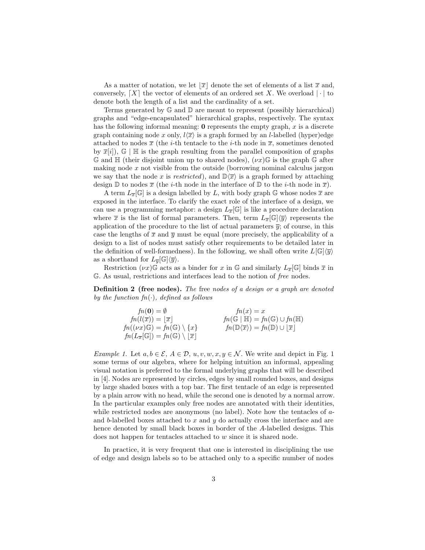As a matter of notation, we let  $\overline{x}$  denote the set of elements of a list  $\overline{x}$  and, conversely,  $[X]$  the vector of elements of an ordered set X. We overload | · | to denote both the length of a list and the cardinality of a set.

Terms generated by  $\mathbb G$  and  $\mathbb D$  are meant to represent (possibly hierarchical) graphs and "edge-encapsulated" hierarchical graphs, respectively. The syntax has the following informal meaning:  $\mathbf 0$  represents the empty graph, x is a discrete graph containing node x only,  $l\langle\overline{x}\rangle$  is a graph formed by an *l*-labelled (hyper)edge attached to nodes  $\bar{x}$  (the *i*-th tentacle to the *i*-th node in  $\bar{x}$ , sometimes denoted by  $\bar{x}[i]$ ,  $\mathbb{G} \mid \mathbb{H}$  is the graph resulting from the parallel composition of graphs  $\mathbb{G}$  and  $\mathbb{H}$  (their disjoint union up to shared nodes),  $(\nu x)\mathbb{G}$  is the graph  $\mathbb{G}$  after making node  $x$  not visible from the outside (borrowing nominal calculus jargon we say that the node x is restricted), and  $\mathbb{D}\langle\overline{x}\rangle$  is a graph formed by attaching design  $\mathbb D$  to nodes  $\overline{x}$  (the *i*-th node in the interface of  $\mathbb D$  to the *i*-th node in  $\overline{x}$ ).

A term  $L_{\overline{x}}[\mathbb{G}]$  is a design labelled by L, with body graph G whose nodes  $\overline{x}$  are exposed in the interface. To clarify the exact role of the interface of a design, we can use a programming metaphor: a design  $L_{\overline{x}}[\mathbb{G}]$  is like a procedure declaration where  $\bar{x}$  is the list of formal parameters. Then, term  $L_{\bar{x}}[\mathbb{G}]\langle\bar{y}\rangle$  represents the application of the procedure to the list of actual parameters  $\bar{y}$ ; of course, in this case the lengths of  $\bar{x}$  and  $\bar{y}$  must be equal (more precisely, the applicability of a design to a list of nodes must satisfy other requirements to be detailed later in the definition of well-formedness). In the following, we shall often write  $L[\mathbb{G}]\langle\overline{y}\rangle$ as a shorthand for  $L_{\overline{y}}[\mathbb{G}]\langle\overline{y}\rangle$ .

Restriction  $(\nu x) \mathbb{G}$  acts as a binder for x in  $\mathbb{G}$  and similarly  $L_{\overline{x}}[\mathbb{G}]$  binds  $\overline{x}$  in G. As usual, restrictions and interfaces lead to the notion of free nodes.

Definition 2 (free nodes). The free nodes of a design or a graph are denoted by the function  $fn(\cdot)$ , defined as follows

| $fn(0) = \emptyset$                                                          | $fn(x) = x$                                                                      |
|------------------------------------------------------------------------------|----------------------------------------------------------------------------------|
| $fn(l(\overline{x})) =  \overline{x} $                                       | $fn(\mathbb{G}   \mathbb{H}) = fn(\mathbb{G}) \cup fn(\mathbb{H})$               |
| $fn((\nu x)\mathbb{G}) = fn(\mathbb{G}) \setminus \{x\}$                     | $fn(\mathbb{D}\langle \overline{x}\rangle) = fn(\mathbb{D}) \cup  \overline{x} $ |
| $fn(L_{\overline{x}}[\mathbb{G}]) = fn(\mathbb{G}) \setminus  \overline{x} $ |                                                                                  |

Example 1. Let  $a, b \in \mathcal{E}, A \in \mathcal{D}, u, v, w, x, y \in \mathcal{N}$ . We write and depict in Fig. 1 some terms of our algebra, where for helping intuition an informal, appealing visual notation is preferred to the formal underlying graphs that will be described in [4]. Nodes are represented by circles, edges by small rounded boxes, and designs by large shaded boxes with a top bar. The first tentacle of an edge is represented by a plain arrow with no head, while the second one is denoted by a normal arrow. In the particular examples only free nodes are annotated with their identities, while restricted nodes are anonymous (no label). Note how the tentacles of  $a$ and b-labelled boxes attached to  $x$  and  $y$  do actually cross the interface and are hence denoted by small black boxes in border of the A-labelled designs. This does not happen for tentacles attached to w since it is shared node.

In practice, it is very frequent that one is interested in disciplining the use of edge and design labels so to be attached only to a specific number of nodes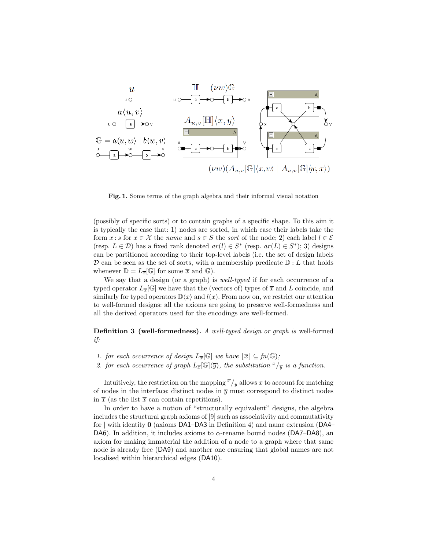

Fig. 1. Some terms of the graph algebra and their informal visual notation

(possibly of specific sorts) or to contain graphs of a specific shape. To this aim it is typically the case that: 1) nodes are sorted, in which case their labels take the form x : s for  $x \in \mathcal{X}$  the name and  $s \in S$  the sort of the node; 2) each label  $l \in \mathcal{E}$ (resp.  $L \in \mathcal{D}$ ) has a fixed rank denoted  $ar(l) \in S^*$  (resp.  $ar(L) \in S^*$ ); 3) designs can be partitioned according to their top-level labels (i.e. the set of design labels  $\mathcal D$  can be seen as the set of sorts, with a membership predicate  $\mathbb D: L$  that holds whenever  $\mathbb{D} = L_{\overline{x}}[\mathbb{G}]$  for some  $\overline{x}$  and  $\mathbb{G}$ ).

We say that a design (or a graph) is *well-typed* if for each occurrence of a typed operator  $L_{\overline{x}}[\mathbb{G}]$  we have that the (vectors of) types of  $\overline{x}$  and L coincide, and similarly for typed operators  $\mathbb{D}\langle\overline{x}\rangle$  and  $l(\overline{x})$ . From now on, we restrict our attention to well-formed designs: all the axioms are going to preserve well-formedness and all the derived operators used for the encodings are well-formed.

Definition 3 (well-formedness). A well-typed design or graph is well-formed if:

- 1. for each occurrence of design  $L_{\overline{x}}[\mathbb{G}]$  we have  $|\overline{x}| \subseteq fn(\mathbb{G});$
- 2. for each occurrence of graph  $L_{\overline{x}}[\mathbb{G}]\langle\overline{y}\rangle$ , the substitution  $\overline{x}/_{\overline{y}}$  is a function.

Intuitively, the restriction on the mapping  $\overline{x}/\overline{y}$  allows  $\overline{x}$  to account for matching of nodes in the interface: distinct nodes in  $\bar{y}$  must correspond to distinct nodes in  $\bar{x}$  (as the list  $\bar{x}$  can contain repetitions).

In order to have a notion of "structurally equivalent" designs, the algebra includes the structural graph axioms of [9] such as associativity and commutativity for | with identity 0 (axioms DA1–DA3 in Definition 4) and name extrusion (DA4– DA6). In addition, it includes axioms to  $\alpha$ -rename bound nodes (DA7–DA8), an axiom for making immaterial the addition of a node to a graph where that same node is already free (DA9) and another one ensuring that global names are not localised within hierarchical edges (DA10).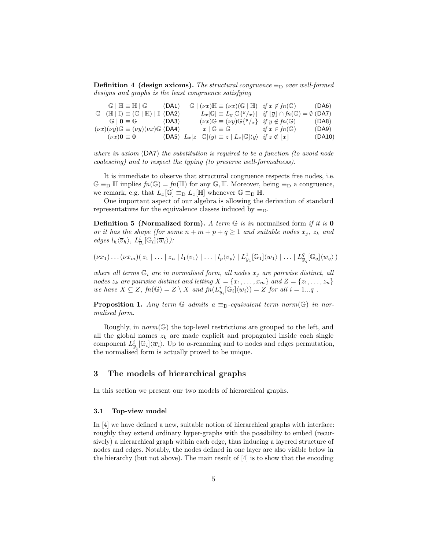**Definition 4 (design axioms).** The structural congruence  $\equiv_D$  over well-formed designs and graphs is the least congruence satisfying

| $\mathbb{G} \mid \mathbb{H} \equiv \mathbb{H} \mid \mathbb{G}$ (DA1)                   | $\mathbb{G} \mid (\nu x) \mathbb{H} \equiv (\nu x) (\mathbb{G} \mid \mathbb{H}) \quad \text{if } x \notin f_n(\mathbb{G})$ (DA6)                                                                         |        |
|----------------------------------------------------------------------------------------|----------------------------------------------------------------------------------------------------------------------------------------------------------------------------------------------------------|--------|
| $\mathbb{G}$   ( $\mathbb{H}$   II) $\equiv$ ( $\mathbb{G}$   $\mathbb{H}$ )   I (DA2) | $L_{\overline{x}}[\mathbb{G}] \equiv L_{\overline{y}}[\mathbb{G}\{\overline{y}/_{\overline{x}}\}]$ if $ \overline{y}  \cap fn(\mathbb{G}) = \emptyset$ (DA7)                                             |        |
| $\mathbb{G} \mid 0 \equiv \mathbb{G}$ (DA3)                                            | $(\nu x)\mathbb{G} \equiv (\nu y)\mathbb{G}\left\{y/x\right\}$ if $y \notin fn(\mathbb{G})$                                                                                                              | (DA8)  |
| $(\nu x)(\nu y) \mathbb{G} \equiv (\nu y)(\nu x) \mathbb{G}$ (DA4)                     | $x \mid \mathbb{G} \equiv \mathbb{G}$ if $x \in fn(\mathbb{G})$                                                                                                                                          | (DA9)  |
|                                                                                        | $(\nu x)$ <b>0</b> $\equiv$ <b>0</b> $(DA5)$ $L_{\overline{x}}[z   \mathbb{G}]\langle\overline{y}\rangle \equiv z   L_{\overline{x}}[\mathbb{G}]\langle\overline{y}\rangle$ if $z \notin  \overline{x} $ | (DA10) |

where in axiom (DA7) the substitution is required to be a function (to avoid node coalescing) and to respect the typing (to preserve well-formedness).

It is immediate to observe that structural congruence respects free nodes, i.e.  $\mathbb{G} \equiv_{\mathbb{D}} \mathbb{H}$  implies  $fn(\mathbb{G}) = fn(\mathbb{H})$  for any  $\mathbb{G}, \mathbb{H}$ . Moreover, being  $\equiv_{\mathbb{D}}$  a congruence, we remark, e.g. that  $L_{\overline{x}}[\mathbb{G}] \equiv_{\text{D}} L_{\overline{x}}[\mathbb{H}]$  whenever  $\mathbb{G} \equiv_{\text{D}} \mathbb{H}$ .

One important aspect of our algebra is allowing the derivation of standard representatives for the equivalence classes induced by  $\equiv_D$ .

**Definition 5** (Normalized form). A term  $G$  is in normalised form if it is 0 or it has the shape (for some  $n + m + p + q \ge 1$  and suitable nodes  $x_j$ ,  $z_k$  and  $edges\ l_h\langle\overline{v}_h\rangle,\ L^i_{\overline{y}_i}[\mathbb{G}_i]\langle\overline{w}_i\rangle).$ 

 $(\nu x_1)\ldots(\nu x_m)(z_1 | \ldots | z_n | l_1 \langle \overline{v}_1 \rangle | \ldots | l_p \langle \overline{v}_p \rangle | L^1_{\overline{y}_1}[\mathbb{G}_1] \langle \overline{w}_1 \rangle | \ldots | L^q_{\overline{y}_q}[\mathbb{G}_q] \langle \overline{w}_q \rangle)$ 

where all terms  $\mathbb{G}_i$  are in normalised form, all nodes  $x_j$  are pairwise distinct, all nodes  $z_k$  are pairwise distinct and letting  $X = \{x_1, \ldots, x_m\}$  and  $Z = \{z_1, \ldots, z_n\}$ we have  $X \subseteq Z$ ,  $fn(\mathbb{G}) = Z \setminus X$  and  $fn(L_{\overline{y}_i}^i[\mathbb{G}_i]\langle \overline{w}_i \rangle) = Z$  for all  $i = 1...q$ .

**Proposition 1.** Any term  $\mathbb{G}$  admits a  $\equiv_{\mathbb{D}}$ -equivalent term norm( $\mathbb{G}$ ) in normalised form.

Roughly, in  $norm(\mathbb{G})$  the top-level restrictions are grouped to the left, and all the global names  $z_k$  are made explicit and propagated inside each single component  $L^i_{\overline{y}_i}[\mathbb{G}_i]\langle\overline{w}_i\rangle$ . Up to  $\alpha$ -renaming and to nodes and edges permutation, the normalised form is actually proved to be unique.

### 3 The models of hierarchical graphs

In this section we present our two models of hierarchical graphs.

#### 3.1 Top-view model

In [4] we have defined a new, suitable notion of hierarchical graphs with interface: roughly they extend ordinary hyper-graphs with the possibility to embed (recursively) a hierarchical graph within each edge, thus inducing a layered structure of nodes and edges. Notably, the nodes defined in one layer are also visible below in the hierarchy (but not above). The main result of [4] is to show that the encoding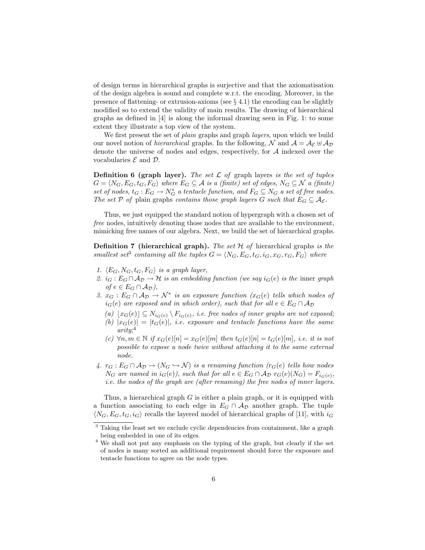of design terms in hierarchical graphs is surjective and that the axiomatisation of the design algebra is sound and complete w.r.t. the encoding. Moreover, in the presence of flattening- or extrusion-axioms (see  $\S$  4.1) the encoding can be slightly modified so to extend the validity of main results. The drawing of hierarchical graphs as defined in [4] is along the informal drawing seen in Fig. 1: to some extent they illustrate a top view of the system.

We first present the set of *plain* graphs and graph *layers*, upon which we build our novel notion of *hierarchical* graphs. In the following, N and  $A = A_{\mathcal{E}} \oplus A_{\mathcal{D}}$ denote the universe of nodes and edges, respectively, for A indexed over the vocabularies  $\mathcal E$  and  $\mathcal D$ .

**Definition 6 (graph layer).** The set  $\mathcal L$  of graph layers is the set of tuples  $G = \langle N_G, E_G, t_G, F_G \rangle$  where  $E_G \subseteq \mathcal{A}$  is a (finite) set of edges,  $N_G \subseteq \mathcal{N}$  a (finite) set of nodes,  $t_G : E_G \to N_G^*$  a tentacle function, and  $F_G \subseteq N_G$  a set of free nodes. The set P of plain graphs contains those graph layers G such that  $E_G \subseteq A_{\mathcal{E}}$ .

Thus, we just equipped the standard notion of hypergraph with a chosen set of free nodes, intuitively denoting those nodes that are available to the environment, mimicking free names of our algebra. Next, we build the set of hierarchical graphs.

**Definition 7** (hierarchical graph). The set  $H$  of hierarchical graphs is the smallest set<sup>3</sup> containing all the tuples  $G = \langle N_G, E_G, t_G, i_G, x_G, r_G, F_G \rangle$  where

- 1.  $\langle E_G, N_G, t_G, F_G \rangle$  is a graph layer,
- 2.  $i_G : E_G \cap A_D \to \mathcal{H}$  is an embedding function (we say  $i_G(e)$  is the inner graph *of*  $e$  ∈  $E_G$  ∩  $\mathcal{A}_{\mathcal{D}}$ ),
- 3.  $x_G : E_G \cap A_{\mathcal{D}} \to \mathcal{N}^*$  is an exposure function  $(x_G(e)$  tells which nodes of  $i_G(e)$  are exposed and in which order), such that for all  $e \in E_G \cap A_{\mathcal{D}}$ 
	- (a)  $\lfloor x_G(e) \rfloor \subseteq N_{i_G(e)} \setminus F_{i_G(e)},$  i.e. free nodes of inner graphs are not exposed;
	- (b)  $|x_G(e)| = |t_G(e)|$ , i.e. exposure and tentacle functions have the same  $arity:$ <sup>4</sup>
	- (c)  $\forall n, m \in \mathbb{N}$  if  $x_G(e)[n] = x_G(e)[m]$  then  $t_G(e)[n] = t_G(e)[m]$ , i.e. it is not possible to expose a node twice without attaching it to the same external node.
- 4.  $r_G : E_G \cap A_{\mathcal{D}} \to (N_G \hookrightarrow \mathcal{N})$  is a renaming function  $(r_G(e)$  tells how nodes  $N_G$  are named in  $i_G(e)$ , such that for all  $e \in E_G \cap A_{\mathcal{D}} r_G(e)(N_G) = F_{i_G(e)}$ , i.e. the nodes of the graph are (after renaming) the free nodes of inner layers.

Thus, a hierarchical graph  $G$  is either a plain graph, or it is equipped with a function associating to each edge in  $E_G \cap A_D$  another graph. The tuple  $\langle N_G, E_G, t_G, i_G \rangle$  recalls the layered model of hierarchical graphs of [11], with  $i_G$ 

<sup>3</sup> Taking the least set we exclude cyclic dependencies from containment, like a graph being embedded in one of its edges.

<sup>4</sup> We shall not put any emphasis on the typing of the graph, but clearly if the set of nodes is many sorted an additional requirement should force the exposure and tentacle functions to agree on the node types.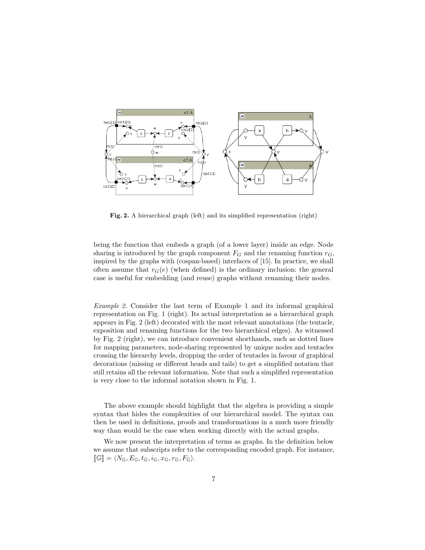

Fig. 2. A hierarchical graph (left) and its simplified representation (right)

being the function that embeds a graph (of a lower layer) inside an edge. Node sharing is introduced by the graph component  $F_G$  and the renaming function  $r_G$ , inspired by the graphs with (cospan-based) interfaces of [15]. In practice, we shall often assume that  $r_G(e)$  (when defined) is the ordinary inclusion: the general case is useful for embedding (and reuse) graphs without renaming their nodes.

Example 2. Consider the last term of Example 1 and its informal graphical representation on Fig. 1 (right). Its actual interpretation as a hierarchical graph appears in Fig. 2 (left) decorated with the most relevant annotations (the tentacle, exposition and renaming functions for the two hierarchical edges). As witnessed by Fig. 2 (right), we can introduce convenient shorthands, such as dotted lines for mapping parameters, node-sharing represented by unique nodes and tentacles crossing the hierarchy levels, dropping the order of tentacles in favour of graphical decorations (missing or different heads and tails) to get a simplified notation that still retains all the relevant information. Note that such a simplified representation is very close to the informal notation shown in Fig. 1.

The above example should highlight that the algebra is providing a simple syntax that hides the complexities of our hierarchical model. The syntax can then be used in definitions, proofs and transformations in a much more friendly way than would be the case when working directly with the actual graphs.

We now present the interpretation of terms as graphs. In the definition below we assume that subscripts refer to the corresponding encoded graph. For instance,  $\llbracket \mathbb{G} \rrbracket = \langle N_{\mathbb{G}}, E_{\mathbb{G}}, t_{\mathbb{G}}, i_{\mathbb{G}}, x_{\mathbb{G}}, r_{\mathbb{G}}, F_{\mathbb{G}} \rangle.$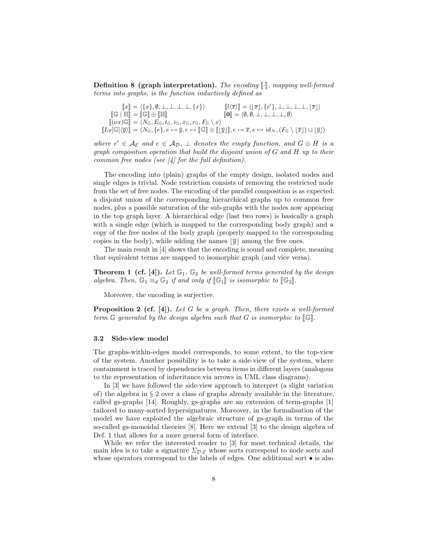**Definition 8 (graph interpretation).** The encoding  $\llbracket \cdot \rrbracket$ , mapping well-formed terms into graphs, is the function inductively defined as

$$
\begin{array}{ll} \hspace{0.5cm} \left\|x\right\|=\langle\{x\},\emptyset,\bot,\bot,\bot,\bot,\{x\}\rangle & \left[\!\!\!\left[l(\overline{x})\right]\!\!\right]=\langle\!\!\left[\overline{x}\right],\{e'\},\bot,\bot,\bot,\bot,\lfloor\overline{x}\rfloor\rangle\\ \hspace{0.5cm}\left[\!\!\!\left[\mathbb{G}\right]\!\!\right]\equiv\left[\!\!\!\left[\mathbb{G}\right]\!\!\right]\oplus\left[\!\!\!\left[\!\!\!\left[\mathbb{H}\right]\!\!\right]\!\!\right] & \left[\!\!\!\left[0\right]\!\!\right]=\langle\!\!\!\left(\emptyset,\emptyset,\bot,\bot,\bot,\bot,\bot,\lfloor\overline{x}\rfloor\right)\rangle\\ \hspace{0.5cm}\left[\!\!\!\left(\nu x\right)\!\mathbb{G}\right]\equiv\langle N_{\mathbb{G}},E_{\mathbb{G}},t_{\mathbb{G}},x_{\mathbb{G}},r_{\mathbb{G}},F_{\mathbb{G}}\setminus x\rangle\\ \hspace{0.5cm}\left[\!\!\!\left[L_{\overline{x}}[\mathbb{G}]\langle\overline{y}\rangle\right]\!\!\right]=\langle N_{\mathbb{G}},\{e\},e\mapsto\overline{y},e\mapsto\left[\!\!\!\left[\!\!\left[\mathbb{G}\right]\!\!\right]\oplus\left[\!\!\!\left[\!\!\left[\overline{y}\right]\right]\!\!\right],e\mapsto\overline{x},e\mapsto id_N,(F_{\mathbb{G}}\setminus\left[\overline{x}\right])\cup\left[\overline{y}\right]\rangle \end{array}
$$

where  $e' \in \mathcal{A}_{\mathcal{E}}$  and  $e \in \mathcal{A}_{\mathcal{D}}$ ,  $\perp$  denotes the empty function, and  $G \oplus H$  is a graph composition operation that build the disjoint union of G and H up to their common free nodes (see  $\vert 4 \vert$  for the full definition).

The encoding into (plain) graphs of the empty design, isolated nodes and single edges is trivial. Node restriction consists of removing the restricted node from the set of free nodes. The encoding of the parallel composition is as expected: a disjoint union of the corresponding hierarchical graphs up to common free nodes, plus a possible saturation of the sub-graphs with the nodes now appearing in the top graph layer. A hierarchical edge (last two rows) is basically a graph with a single edge (which is mapped to the corresponding body graph) and a copy of the free nodes of the body graph (properly mapped to the corresponding copies in the body), while adding the names  $|\overline{y}|$  among the free ones.

The main result in [4] shows that the encoding is sound and complete, meaning that equivalent terms are mapped to isomorphic graph (and vice versa).

**Theorem 1 (cf. [4]).** Let  $\mathbb{G}_1$ ,  $\mathbb{G}_2$  be well-formed terms generated by the design algebra. Then,  $\mathbb{G}_1 \equiv_d \mathbb{G}_2$  if and only if  $[\![\mathbb{G}_1]\!]$  is isomorphic to  $[\![\mathbb{G}_2]\!]$ .

Moreover, the encoding is surjective.

**Proposition 2 (cf. [4]).** Let G be a graph. Then, there exists a well-formed term  $\mathbb G$  generated by the design algebra such that G is isomorphic to  $[\mathbb G]$ .

#### 3.2 Side-view model

The graphs-within-edges model corresponds, to some extent, to the top-view of the system. Another possibility is to take a side-view of the system, where containment is traced by dependencies between items in different layers (analogous to the representation of inheritance via arrows in UML class diagrams).

In [3] we have followed the side-view approach to interpret (a slight variation of) the algebra in  $\S 2$  over a class of graphs already available in the literature, called gs-graphs [14]. Roughly, gs-graphs are an extension of term-graphs [1] tailored to many-sorted hypersignatures. Moreover, in the formalisation of the model we have exploited the algebraic structure of gs-graph in terms of the so-called gs-monoidal theories [8]. Here we extend [3] to the design algebra of Def. 1 that allows for a more general form of interface.

While we refer the interested reader to [3] for most technical details, the main idea is to take a signature  $\Sigma_{\mathcal{D},\mathcal{E}}$  whose sorts correspond to node sorts and whose operators correspond to the labels of edges. One additional sort  $\bullet$  is also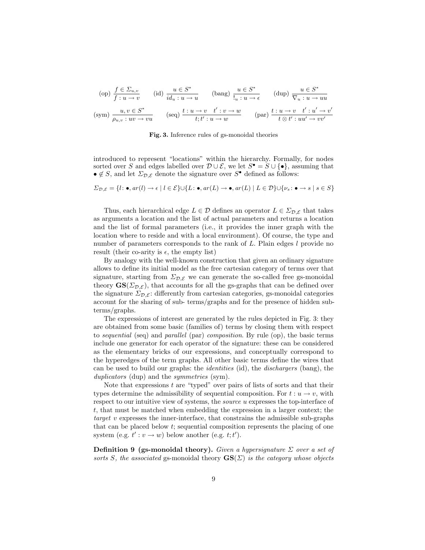$$
(op) \frac{f \in \Sigma_{u,v}}{f: u \to v} \qquad (id) \frac{u \in S^*}{id_u: u \to u} \qquad (bang) \frac{u \in S^*}{!_u: u \to \epsilon} \qquad (dup) \frac{u \in S^*}{\nabla_u: u \to uu}
$$

$$
(sym) \frac{u, v \in S^*}{\rho_{u,v}: uv \to vu} \qquad (seq) \frac{t: u \to v \quad t': v \to w}{t; t': u \to w} \qquad (par) \frac{t: u \to v \quad t': u' \to v'}{t \otimes t': uu' \to vv'}
$$

Fig. 3. Inference rules of gs-monoidal theories

introduced to represent "locations" within the hierarchy. Formally, for nodes sorted over S and edges labelled over  $\mathcal{D} \cup \mathcal{E}$ , we let  $S^{\bullet} = S \cup \{ \bullet \}$ , assuming that •  $\notin S$ , and let  $\Sigma_{\mathcal{D},\mathcal{E}}$  denote the signature over  $S^{\bullet}$  defined as follows:

$$
\Sigma_{\mathcal{D},\mathcal{E}} = \{l : \bullet, ar(l) \to \epsilon \mid l \in \mathcal{E}\} \cup \{L : \bullet, ar(L) \to \bullet, ar(L) \mid L \in \mathcal{D}\} \cup \{\nu_s : \bullet \to s \mid s \in S\}
$$

Thus, each hierarchical edge  $L \in \mathcal{D}$  defines an operator  $L \in \Sigma_{\mathcal{D},\mathcal{E}}$  that takes as arguments a location and the list of actual parameters and returns a location and the list of formal parameters (i.e., it provides the inner graph with the location where to reside and with a local environment). Of course, the type and number of parameters corresponds to the rank of  $L$ . Plain edges  $l$  provide no result (their co-arity is  $\epsilon$ , the empty list)

By analogy with the well-known construction that given an ordinary signature allows to define its initial model as the free cartesian category of terms over that signature, starting from  $\Sigma_{\mathcal{D},\mathcal{E}}$  we can generate the so-called free gs-monoidal theory  $GS(\Sigma_{\mathcal{D},\mathcal{E}})$ , that accounts for all the gs-graphs that can be defined over the signature  $\Sigma_{\mathcal{D},\mathcal{E}}$ : differently from cartesian categories, gs-monoidal categories account for the sharing of sub- terms/graphs and for the presence of hidden subterms/graphs.

The expressions of interest are generated by the rules depicted in Fig. 3: they are obtained from some basic (families of) terms by closing them with respect to sequential (seq) and parallel (par) composition. By rule (op), the basic terms include one generator for each operator of the signature: these can be considered as the elementary bricks of our expressions, and conceptually correspond to the hyperedges of the term graphs. All other basic terms define the wires that can be used to build our graphs: the identities (id), the dischargers (bang), the duplicators (dup) and the *symmetries* (sym).

Note that expressions  $t$  are "typed" over pairs of lists of sorts and that their types determine the admissibility of sequential composition. For  $t : u \to v$ , with respect to our intuitive view of systems, the *source u* expresses the top-interface of t, that must be matched when embedding the expression in a larger context; the target v expresses the inner-interface, that constrains the admissible sub-graphs that can be placed below t; sequential composition represents the placing of one system (e.g.  $t': v \to w$ ) below another (e.g.  $t; t'$ ).

**Definition 9 (gs-monoidal theory).** Given a hypersignature  $\Sigma$  over a set of sorts S, the associated gs-monoidal theory  $\mathbf{GS}(\Sigma)$  is the category whose objects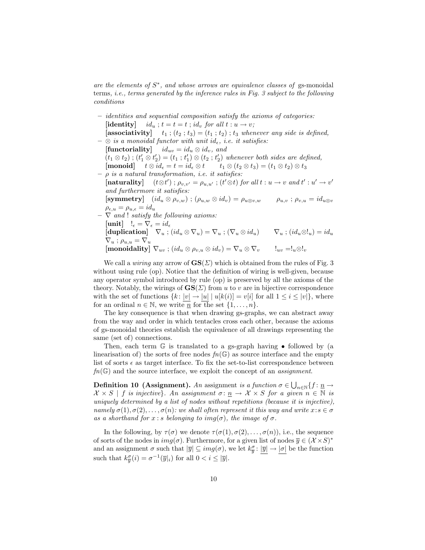are the elements of  $S^*$ , and whose arrows are equivalence classes of gs-monoidal terms, i.e., terms generated by the inference rules in Fig. 3 subject to the following conditions

- identities and sequential composition satisfy the axioms of categories: [identity]  $id_u$ ;  $t = t = t$ ;  $id_v$  for all  $t : u \rightarrow v$ ; [associativity]  $t_1$ ;  $(t_2; t_3) = (t_1; t_2)$ ;  $t_3$  whenever any side is defined,
- $\otimes$  is a monoidal functor with unit id<sub>e</sub>, i.e. it satisfies: [functoriality]  $id_{uv} = id_u \otimes id_v$ , and  $(t_1 \otimes t_2)$ ;  $(t'_1 \otimes t'_2) = (t_1; t'_1) \otimes (t_2; t'_2)$  whenever both sides are defined,  $[\text{monoid}] \quad t \otimes id_{\epsilon} = t = id_{\epsilon} \otimes t \quad t_1 \otimes (t_2 \otimes t_3) = (t_1 \otimes t_2) \otimes t_3$  $\rho$  is a natural transformation, i.e. it satisfies: [naturality]  $(t \otimes t')$ ;  $\rho_{v,v'} = \rho_{u,u'}$ ;  $(t' \otimes t)$  for all  $t : u \to v$  and  $t' : u' \to v'$ and furthermore it satisfies:  $[\text{symmetry}] \quad (id_u \otimes \rho_{v,w}) \; ; \; (\rho_{u,w} \otimes id_v) = \rho_{u \otimes v,w} \qquad \rho_{u,v} \; ; \; \rho_{v,u} = id_{u \otimes v}$  $\rho_{\epsilon,u} = \rho_{u,\epsilon} = id_u$  $\nabla$  and ! satisfy the following axioms: [unit]  $!_{\epsilon} = \nabla_{\epsilon} = id_{\epsilon}$  $[\text{duplication}] \quad \nabla_u \; ; \; (id_u \otimes \nabla_u) = \nabla_u \; ; \; (\nabla_u \otimes id_u) \qquad \nabla_u \; ; \; (id_u \otimes !_u) = id_u$  $\nabla_u$ ;  $\rho_{u,u} = \nabla_u$  $[\text{monoidality}] \nabla_{uv}$ ;  $(id_u \otimes \rho_{v,u} \otimes id_v) = \nabla_u \otimes \nabla_v \qquad \vdots$ uv = $\vdots_{uv}$  =! $_u \otimes \vdots$

We call a *wiring* any arrow of  $\mathbf{GS}(\Sigma)$  which is obtained from the rules of Fig. 3 without using rule (op). Notice that the definition of wiring is well-given, because any operator symbol introduced by rule (op) is preserved by all the axioms of the theory. Notably, the wirings of  $GS(\Sigma)$  from u to v are in bijective correspondence with the set of functions  $\{k : |v| \to |u| \mid u[k(i)] = v[i] \text{ for all } 1 \leq i \leq |v|\}$ , where for an ordinal  $n \in \mathbb{N}$ , we write  $\overline{n}$  for the set  $\{1, \ldots, n\}$ .

The key consequence is that when drawing gs-graphs, we can abstract away from the way and order in which tentacles cross each other, because the axioms of gs-monoidal theories establish the equivalence of all drawings representing the same (set of) connections.

Then, each term  $\mathbb G$  is translated to a gs-graph having  $\bullet$  followed by (a linearisation of) the sorts of free nodes  $fn(\mathbb{G})$  as source interface and the empty list of sorts  $\epsilon$  as target interface. To fix the set-to-list correspondence between  $fn(\mathbb{G})$  and the source interface, we exploit the concept of an *assignment*.

**Definition 10 (Assignment).** An assignment is a function  $\sigma \in \bigcup_{n\in\mathbb{N}}\{f: \underline{n} \to \infty\}$  $\mathcal{X} \times S \mid f$  is injective}. An assignment  $\sigma: \underline{n} \to \mathcal{X} \times S$  for a given  $n \in \mathbb{N}$  is uniquely determined by a list of nodes without repetitions (because it is injective), namely  $\sigma(1), \sigma(2), \ldots, \sigma(n)$ : we shall often represent it this way and write  $x : s \in \sigma$ as a shorthand for  $x : s$  belonging to imp( $\sigma$ ), the image of  $\sigma$ .

In the following, by  $\tau(\sigma)$  we denote  $\tau(\sigma(1), \sigma(2), \ldots, \sigma(n))$ , i.e., the sequence of sorts of the nodes in  $img(\sigma)$ . Furthermore, for a given list of nodes  $\overline{y} \in (\mathcal{X} \times S)^*$ and an assignment  $\sigma$  such that  $|\overline{y}| \subseteq img(\sigma)$ , we let  $k_{\overline{y}}^{\sigma} : |\overline{y}| \to |\sigma|$  be the function such that  $k_{\overline{y}}^{\sigma}(i) = \sigma^{-1}(\overline{y}|_i)$  for all  $0 < i \leq |\overline{y}|$ .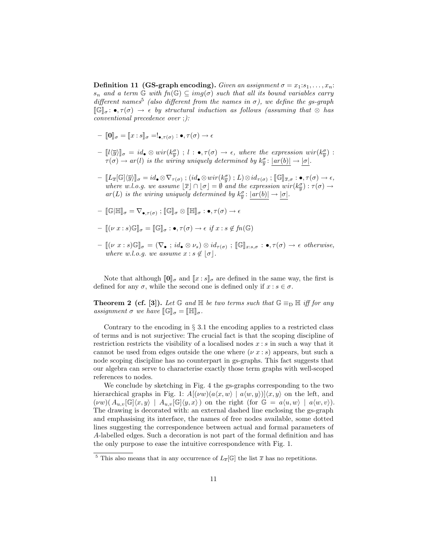**Definition 11 (GS-graph encoding).** Given an assignment  $\sigma = x_1 : s_1, \ldots, x_n$ :  $s_n$  and a term  $\mathbb G$  with  $fn(\mathbb G) \subseteq img(\sigma)$  such that all its bound variables carry different names<sup>5</sup> (also different from the names in  $\sigma$ ), we define the gs-graph  $[\![\mathbb{G}]\!]_{\sigma} : \bullet, \tau(\sigma) \to \epsilon$  by structural induction as follows (assuming that  $\otimes$  has conventional precedence over ;):

- $\llbracket \mathbf{0} \rrbracket_{\sigma} = \llbracket x : s \rrbracket_{\sigma} =:_{\bullet, \tau(\sigma)} : \bullet, \tau(\sigma) \to \epsilon$
- $\begin{bmatrix} \lbrack l(\overline{y}) \rbrack_{\sigma} = id_{\bullet} \otimes wir(k_{\overline{y}}^{\sigma}) \end{bmatrix}$ ;  $l : \bullet, \tau(\sigma) \to \epsilon$ , where the expression wir $(k_{\overline{y}}^{\sigma}) :$  $\tau(\sigma) \to ar(l)$  is the wiring uniquely determined by  $k_{\overline{y}}^{\sigma}$ :  $|ar(b)| \to |\sigma|$ .
- $-I[[L_{\overline{x}}[G]\langle\overline{y}\rangle]]_{\sigma} = id_{\bullet} \otimes \nabla_{\tau(\sigma)}$ ;  $(id_{\bullet} \otimes wir(k_{\overline{y}}^{\sigma})$ ;  $L) \otimes id_{\tau(\sigma)}$ ;  $[\mathbb{G}]_{\overline{x},\sigma} : \bullet, \tau(\sigma) \to \epsilon$ ,<br>where w.l.o.g. we assume  $[\overline{x}] \cap [\sigma] = \emptyset$  and the expression wir $(k_{\overline{y}}^{\sigma}) : \tau(\sigma) \to \epsilon$  $ar(L)$  is the wiring uniquely determined by  $k_{\overline{y}}^{\sigma}$ :  $|ar(b)| \rightarrow |\sigma|$ .
- $[\![\mathbb{G}]\!]_{\sigma}^{\sigma} = \nabla_{\bullet,\tau(\sigma)}$  ;  $[\![\mathbb{G}]\!]_{\sigma} \otimes [\![\mathbb{H}]\!]_{\sigma} : \bullet, \tau(\sigma) \to \epsilon$

$$
-[[(\nu x:s)\mathbb{G}]_{\sigma} = [[\mathbb{G}]]_{\sigma} : \bullet, \tau(\sigma) \to \epsilon \text{ if } x:s \notin fn(\mathbb{G})
$$

 $-\left[\left(\nu \ x : s\right) \mathbb{G}\right]_{\sigma} = \left(\nabla_{\bullet} : id_{\bullet} \otimes \nu_{s}\right) \otimes id_{\tau(\sigma)}; \left[\mathbb{G}\right]_{x:s,\sigma} : \bullet, \tau(\sigma) \to \epsilon \text{ otherwise,}$ where w.l.o.g. we assume  $x : s \notin |\sigma|$ .

Note that although  $[\![0]\!]_{\sigma}$  and  $[\![x:s]\!]_{\sigma}$  are defined in the same way, the first is defined for any  $\sigma$ , while the second one is defined only if  $x : s \in \sigma$ .

**Theorem 2 (cf. [3]).** Let  $\mathbb G$  and  $\mathbb H$  be two terms such that  $\mathbb G \equiv_{\mathbb D} \mathbb H$  iff for any assignment  $\sigma$  we have  $\mathbb{G}_{\sigma} = \mathbb{H}_{\sigma}$ .

Contrary to the encoding in  $\S 3.1$  the encoding applies to a restricted class of terms and is not surjective: The crucial fact is that the scoping discipline of restriction restricts the visibility of a localised nodes  $x : s$  in such a way that it cannot be used from edges outside the one where  $(\nu x : s)$  appears, but such a node scoping discipline has no counterpart in gs-graphs. This fact suggests that our algebra can serve to characterise exactly those term graphs with well-scoped references to nodes.

We conclude by sketching in Fig. 4 the gs-graphs corresponding to the two hierarchical graphs in Fig. 1:  $A[(vw)(a\langle x, w \rangle \mid a\langle w, y \rangle)]\langle x, y \rangle$  on the left, and  $(vw)(A_{u,v}[\mathbb{G}|\langle x,y\rangle| A_{u,v}[\mathbb{G}|\langle y,x\rangle])$  on the right (for  $\mathbb{G} = a\langle u,w\rangle | a\langle w,v\rangle).$ The drawing is decorated with: an external dashed line enclosing the gs-graph and emphasising its interface, the names of free nodes available, some dotted lines suggesting the correspondence between actual and formal parameters of A-labelled edges. Such a decoration is not part of the formal definition and has the only purpose to ease the intuitive correspondence with Fig. 1.

<sup>&</sup>lt;sup>5</sup> This also means that in any occurrence of  $L_{\overline{x}}[\mathbb{G}]$  the list  $\overline{x}$  has no repetitions.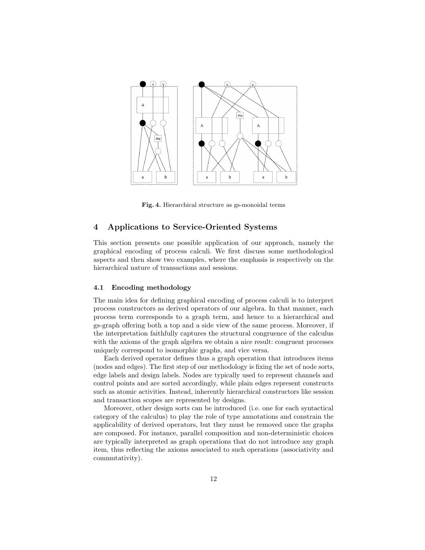

Fig. 4. Hierarchical structure as gs-monoidal terms

### 4 Applications to Service-Oriented Systems

This section presents one possible application of our approach, namely the graphical encoding of process calculi. We first discuss some methodological aspects and then show two examples, where the emphasis is respectively on the hierarchical nature of transactions and sessions.

### 4.1 Encoding methodology

The main idea for defining graphical encoding of process calculi is to interpret process constructors as derived operators of our algebra. In that manner, each process term corresponds to a graph term, and hence to a hierarchical and gs-graph offering both a top and a side view of the same process. Moreover, if the interpretation faithfully captures the structural congruence of the calculus with the axioms of the graph algebra we obtain a nice result: congruent processes uniquely correspond to isomorphic graphs, and vice versa.

Each derived operator defines thus a graph operation that introduces items (nodes and edges). The first step of our methodology is fixing the set of node sorts, edge labels and design labels. Nodes are typically used to represent channels and control points and are sorted accordingly, while plain edges represent constructs such as atomic activities. Instead, inherently hierarchical constructors like session and transaction scopes are represented by designs.

Moreover, other design sorts can be introduced (i.e. one for each syntactical category of the calculus) to play the role of type annotations and constrain the applicability of derived operators, but they must be removed once the graphs are composed. For instance, parallel composition and non-deterministic choices are typically interpreted as graph operations that do not introduce any graph item, thus reflecting the axioms associated to such operations (associativity and commutativity).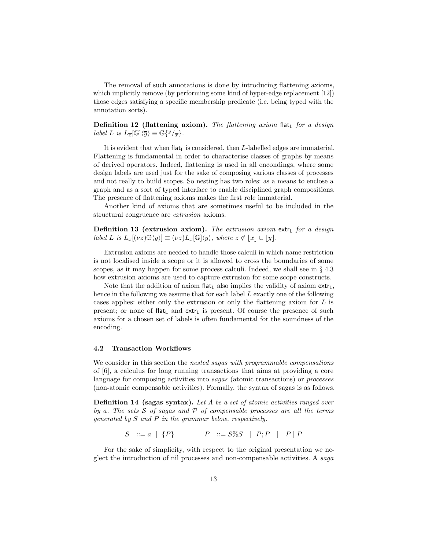The removal of such annotations is done by introducing flattening axioms, which implicitly remove (by performing some kind of hyper-edge replacement [12]) those edges satisfying a specific membership predicate (i.e. being typed with the annotation sorts).

Definition 12 (flattening axiom). The flattening axiom flat<sub>L</sub> for a design label L is  $L_{\overline{x}}[\mathbb{G}]\langle\overline{y}\rangle \equiv \mathbb{G}\{\overline{y}/\overline{x}\}.$ 

It is evident that when flat<sub>L</sub> is considered, then  $L$ -labelled edges are immaterial. Flattening is fundamental in order to characterise classes of graphs by means of derived operators. Indeed, flattening is used in all encondings, where some design labels are used just for the sake of composing various classes of processes and not really to build scopes. So nesting has two roles: as a means to enclose a graph and as a sort of typed interface to enable disciplined graph compositions. The presence of flattening axioms makes the first role immaterial.

Another kind of axioms that are sometimes useful to be included in the structural congruence are extrusion axioms.

Definition 13 (extrusion axiom). The extrusion axiom extremed for a design label L is  $L_{\overline{x}}[(\nu z)\mathbb{G}\langle\overline{y}\rangle] \equiv (\nu z)L_{\overline{x}}[\mathbb{G}]\langle\overline{y}\rangle$ , where  $z \notin |\overline{x}| \cup |\overline{y}|$ .

Extrusion axioms are needed to handle those calculi in which name restriction is not localised inside a scope or it is allowed to cross the boundaries of some scopes, as it may happen for some process calculi. Indeed, we shall see in § 4.3 how extrusion axioms are used to capture extrusion for some scope constructs.

Note that the addition of axiom flat, also implies the validity of axiom extr. hence in the following we assume that for each label L exactly one of the following cases applies: either only the extrusion or only the flattening axiom for L is present; or none of flat<sub>L</sub> and extr<sub>L</sub> is present. Of course the presence of such axioms for a chosen set of labels is often fundamental for the soundness of the encoding.

#### 4.2 Transaction Workflows

We consider in this section the nested sagas with programmable compensations of [6], a calculus for long running transactions that aims at providing a core language for composing activities into *sagas* (atomic transactions) or *processes* (non-atomic compensable activities). Formally, the syntax of sagas is as follows.

**Definition 14 (sagas syntax).** Let  $\Lambda$  be a set of atomic activities ranged over by a. The sets  $S$  of sagas and  $P$  of compensable processes are all the terms generated by S and P in the grammar below, respectively.

 $S \nightharpoonup := a \mid \{P\}$   $P \nightharpoonup := S\%S \mid P; P \mid P \mid P$ 

For the sake of simplicity, with respect to the original presentation we neglect the introduction of nil processes and non-compensable activities. A saga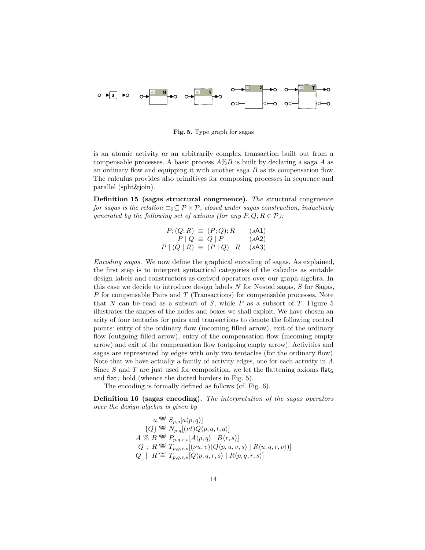

Fig. 5. Type graph for sagas

is an atomic activity or an arbitrarily complex transaction built out from a compensable processes. A basic process  $A\%B$  is built by declaring a saga A as an ordinary flow and equipping it with another saga  $B$  as its compensation flow. The calculus provides also primitives for composing processes in sequence and parallel (split&join).

Definition 15 (sagas structural congruence). The structural congruence for sagas is the relation  $\equiv_S \subseteq \mathcal{P} \times \mathcal{P}$ , closed under sagas construction, inductively generated by the following set of axioms (for any  $P, Q, R \in \mathcal{P}$ ):

| $P$ ; $(Q; R) \equiv (P; Q); R$ | (sA1) |
|---------------------------------|-------|
| $P \mid Q \equiv Q \mid P$      | (sA2) |
| $P (Q R) \equiv (P Q) R$ (sA3)  |       |

Encoding sagas. We now define the graphical encoding of sagas. As explained, the first step is to interpret syntactical categories of the calculus as suitable design labels and constructors as derived operators over our graph algebra. In this case we decide to introduce design labels  $N$  for Nested sagas,  $S$  for Sagas, P for compensable Pairs and T (Transactions) for compensable processes. Note that N can be read as a subsort of S, while P as a subsort of T. Figure 5 illustrates the shapes of the nodes and boxes we shall exploit. We have chosen an arity of four tentacles for pairs and transactions to denote the following control points: entry of the ordinary flow (incoming filled arrow), exit of the ordinary flow (outgoing filled arrow), entry of the compensation flow (incoming empty arrow) and exit of the compensation flow (outgoing empty arrow). Activities and sagas are represented by edges with only two tentacles (for the ordinary flow). Note that we have actually a family of activity edges, one for each activity in  $\Lambda$ . Since S and T are just used for composition, we let the flattening axioms flats and flat<sub>T</sub> hold (whence the dotted borders in Fig. 5).

The encoding is formally defined as follows (cf. Fig. 6).

Definition 16 (sagas encoding). The interpretation of the sagas operators over the design algebra is given by

$$
a \stackrel{\text{def}}{=} S_{p,q}[a\langle p,q \rangle]
$$
  
\n
$$
\{Q\} \stackrel{\text{def}}{=} N_{p,q}[(\nu t)Q\langle p,q,t,q \rangle]
$$
  
\n
$$
A \stackrel{\text{def}}{=} B_{p,q,r,s}[A\langle p,q \rangle | B\langle r,s \rangle]
$$
  
\n
$$
Q \; ; \; R \stackrel{\text{def}}{=} T_{p,q,r,s}[(\nu u,v)(Q\langle p,u,v,s \rangle | R\langle u,q,r,v \rangle)]
$$
  
\n
$$
Q \; | \; R \stackrel{\text{def}}{=} T_{p,q,r,s}[Q\langle p,q,r,s \rangle | R\langle p,q,r,s \rangle]
$$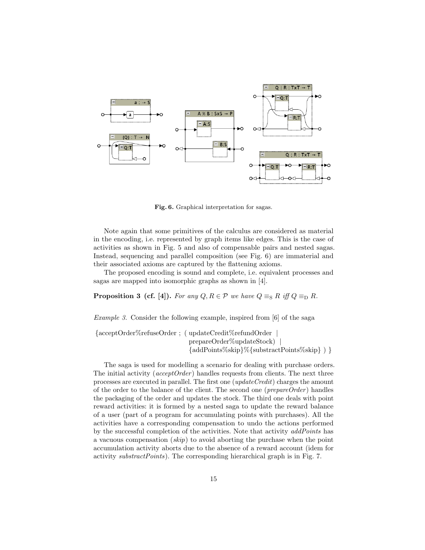

Fig. 6. Graphical interpretation for sagas.

Note again that some primitives of the calculus are considered as material in the encoding, i.e. represented by graph items like edges. This is the case of activities as shown in Fig. 5 and also of compensable pairs and nested sagas. Instead, sequencing and parallel composition (see Fig. 6) are immaterial and their associated axioms are captured by the flattening axioms.

The proposed encoding is sound and complete, i.e. equivalent processes and sagas are mapped into isomorphic graphs as shown in [4].

**Proposition 3 (cf. [4]).** For any  $Q, R \in \mathcal{P}$  we have  $Q \equiv_{\text{S}} R$  iff  $Q \equiv_{\text{D}} R$ .

Example 3. Consider the following example, inspired from [6] of the saga

{acceptOrder%refuseOrder ; ( updateCredit%refundOrder | prepareOrder%updateStock) | {addPoints%skip}%{substractPoints%skip} ) }

The saga is used for modelling a scenario for dealing with purchase orders. The initial activity ( $acceptOrder$ ) handles requests from clients. The next three processes are executed in parallel. The first one (updateCredit) charges the amount of the order to the balance of the client. The second one ( $prepareOrder$ ) handles the packaging of the order and updates the stock. The third one deals with point reward activities: it is formed by a nested saga to update the reward balance of a user (part of a program for accumulating points with purchases). All the activities have a corresponding compensation to undo the actions performed by the successful completion of the activities. Note that activity *addPoints* has a vacuous compensation  $(skip)$  to avoid aborting the purchase when the point accumulation activity aborts due to the absence of a reward account (idem for activity substractPoints). The corresponding hierarchical graph is in Fig. 7.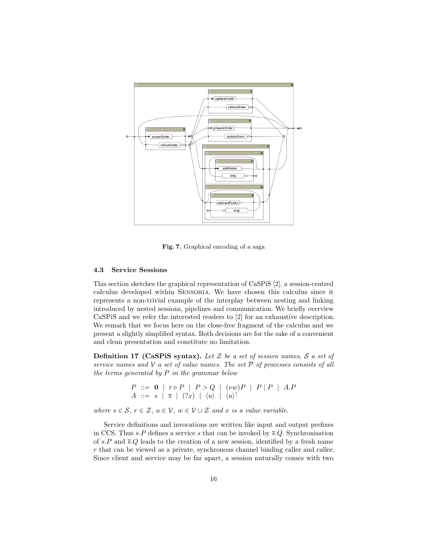

Fig. 7. Graphical encoding of a saga

#### 4.3 Service Sessions

This section sketches the graphical representation of CaSPiS [2], a session-centred calculus developed within Sensoria. We have chosen this calculus since it represents a non-trivial example of the interplay between nesting and linking introduced by nested sessions, pipelines and communication. We briefly overview CaSPiS and we refer the interested readers to [2] for an exhaustive description. We remark that we focus here on the close-free fragment of the calculus and we present a slightly simplified syntax. Both decisions are for the sake of a convenient and clean presentation and constitute no limitation.

**Definition 17 (CaSPiS syntax).** Let  $Z$  be a set of session names,  $S$  a set of service names and  $\mathcal V$  a set of value names. The set  $\mathcal P$  of processes consists of all the terms generated by  $P$  in the grammar below

P ::= 0 | r . P | P > Q | (νw)P | P | P | A.P A ::= s | s | (?x) | hui | hui ↑

where  $s \in \mathcal{S}, r \in \mathcal{Z}, u \in \mathcal{V}, w \in \mathcal{V} \cup \mathcal{Z}$  and x is a value variable.

Service definitions and invocations are written like input and output prefixes in CCS. Thus s.P defines a service s that can be invoked by  $\overline{s}$ .Q. Synchronisation of s.P and  $\bar{s}Q$  leads to the creation of a new session, identified by a fresh name r that can be viewed as a private, synchronous channel binding caller and callee. Since client and service may be far apart, a session naturally comes with two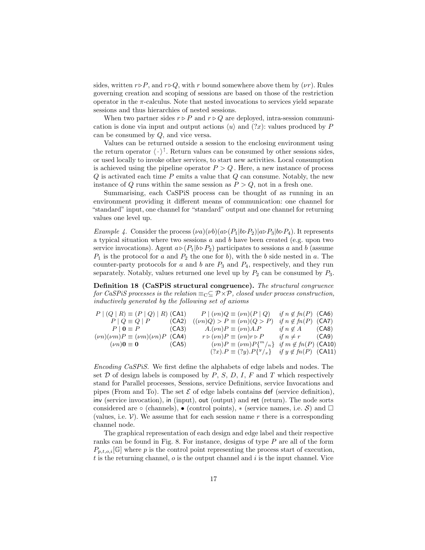sides, written  $r \triangleright P$ , and  $r \triangleright Q$ , with r bound somewhere above them by (*vr*). Rules governing creation and scoping of sessions are based on those of the restriction operator in the  $\pi$ -calculus. Note that nested invocations to services yield separate sessions and thus hierarchies of nested sessions.

When two partner sides  $r \triangleright P$  and  $r \triangleright Q$  are deployed, intra-session communication is done via input and output actions  $\langle u \rangle$  and  $(?x)$ : values produced by P can be consumed by Q, and vice versa.

Values can be returned outside a session to the enclosing environment using the return operator  $\langle \cdot \rangle^{\dagger}$ . Return values can be consumed by other sessions sides, or used locally to invoke other services, to start new activities. Local consumption is achieved using the pipeline operator  $P > Q$ . Here, a new instance of process  $Q$  is activated each time  $P$  emits a value that  $Q$  can consume. Notably, the new instance of Q runs within the same session as  $P > Q$ , not in a fresh one.

Summarising, each CaSPiS process can be thought of as running in an environment providing it different means of communication: one channel for "standard" input, one channel for "standard" output and one channel for returning values one level up.

*Example 4.* Consider the process  $(\nu a)(\nu b)(a\triangleright (P_1|b\triangleright P_2)|a\triangleright P_3|b\triangleright P_4)$ . It represents a typical situation where two sessions  $a$  and  $b$  have been created (e.g. upon two service invocations). Agent  $a \triangleright (P_1|b \triangleright P_2)$  participates to sessions a and b (assume  $P_1$  is the protocol for a and  $P_2$  the one for b), with the b side nested in a. The counter-party protocols for  $a$  and  $b$  are  $P_3$  and  $P_4$ , respectively, and they run separately. Notably, values returned one level up by  $P_2$  can be consumed by  $P_3$ .

Definition 18 (CaSPiS structural congruence). The structural congruence for CaSPiS processes is the relation  $\equiv_C \subseteq P \times P$ , closed under process construction, inductively generated by the following set of axioms

| $P (Q R) \equiv (P Q)   R)$ (CA1)              |       | $P   (\nu n) Q \equiv (\nu n) (P   Q)$                     | if $n \notin fn(P)$ (CA6)  |  |
|------------------------------------------------|-------|------------------------------------------------------------|----------------------------|--|
| $P \mid Q \equiv Q \mid P$                     | (CA2) | $((\nu n)Q) > P \equiv (\nu n)(Q > P)$                     | if $n \notin fn(P)$ (CA7)  |  |
| $P   0 \equiv P$ (CA3)                         |       | $A.(\nu n)P \equiv (\nu n)A.P$                             | if $n \notin A$ (CA8)      |  |
| $(\nu n)(\nu m)P \equiv (\nu m)(\nu n)P$ (CA4) |       | $r \triangleright (v n) P \equiv (v n) r \triangleright P$ | if $n \neq r$ (CA9)        |  |
| $(\nu n)$ <b>0</b> $\equiv$ <b>0</b> (CA5)     |       | $(\nu n)P \equiv (\nu m)P{^m/}_n$                          | if $m \notin fn(P)$ (CA10) |  |
|                                                |       | $(?x).P \equiv (?y).P\{y/x\}$                              | if $y \notin fn(P)$ (CA11) |  |

Encoding CaSPiS. We first define the alphabets of edge labels and nodes. The set  $D$  of design labels is composed by  $P$ ,  $S$ ,  $D$ ,  $I$ ,  $F$  and  $T$  which respectively stand for Parallel processes, Sessions, service Definitions, service Invocations and pipes (From and To). The set  $\mathcal E$  of edge labels contains def (service definition), inv (service invocation), in (input), out (output) and ret (return). The node sorts considered are  $\circ$  (channels),  $\bullet$  (control points),  $\ast$  (service names, i.e. S) and  $\Box$ (values, i.e.  $V$ ). We assume that for each session name r there is a corresponding channel node.

The graphical representation of each design and edge label and their respective ranks can be found in Fig. 8. For instance, designs of type P are all of the form  $P_{p,t,o,i}[\mathbb{G}]$  where p is the control point representing the process start of execution,  $t$  is the returning channel,  $o$  is the output channel and  $i$  is the input channel. Vice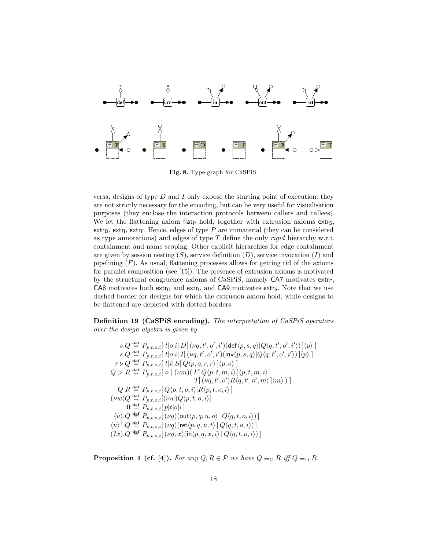

Fig. 8. Type graph for CaSPiS.

versa, designs of type  $D$  and  $I$  only expose the starting point of execution: they are not strictly necessary for the encoding, but can be very useful for visualisation purposes (they enclose the interaction protocols between callers and callees). We let the flattening axiom flat<sub>p</sub> hold, together with extrusion axioms extr<sub>s</sub>,  $extr_D, extr_I, extr_F.$  Hence, edges of type  $P$  are immaterial (they can be considered as type annotations) and edges of type  $T$  define the only rigid hierarchy w.r.t. containment and name scoping. Other explicit hierarchies for edge containment are given by session nesting  $(S)$ , service definition  $(D)$ , service invocation  $(I)$  and pipelining  $(F)$ . As usual, flattening processes allows for getting rid of the axioms for parallel composition (see [15]). The presence of extrusion axioms is motivated by the structural congruence axioms of CaSPiS, namely  $CA7$  motivates extres  $C$ A8 motivates both extr<sub>D</sub> and extr<sub>I</sub>, and  $C$ A9 motivates extr<sub>S</sub>. Note that we use dashed border for designs for which the extrusion axiom hold, while designs to be flattened are depicted with dotted borders.

Definition 19 (CaSPiS encoding). The interpretation of CaSPiS operators over the design algebra is given by

 $s.Q \stackrel{\mathbf{def}}{=} P_{p,t,o,i}[\ t|o|i]\ D[\ (\nu q,t',o',i')(\mathsf{def}\langle p,s,q \rangle|Q\langle q,t',o',i')\ )]\langle p\rangle\ ]$  $\overline{s}.Q \stackrel{\text{def}}{=} P_{p,t,o,i}[t|o|i] \, I[\,( \nu q, t', o', i') (\text{inv} \langle p, s, q \rangle | Q \langle q, t', o', i' \rangle)\,] \langle p \rangle\,]$  $r \triangleright Q \stackrel{\text{def}}{=} P_{p,t,o,i} \left[ t |i| S[ Q \langle p, o, r, r \rangle ] \langle p, o \rangle \right]$  $Q > R \triangleq P_{p,t,o,i}[\ o \mid (\nu m)(F[Q\langle p,t,m,i \rangle]\langle p,t,m,i \rangle)]$  $T[\langle \nu q, t', o' \rangle R \langle q, t', o', m \rangle] \langle m \rangle)]$  $Q|R \stackrel{\scriptscriptstyle\rm def}{=} P_{p,t,o,i}[\,Q\langle p,t,o,i\rangle | R\langle p,t,o,i\rangle\,]$  $(\nu w) Q \triangleq P_{p,t,o,i}[(\nu w) Q \langle p,t, o, i \rangle]$  $\mathbf{0} \stackrel{\text{def}}{=} P_{p,t,o,i}[p|t|o|i]$  $\langle u \rangle.Q \stackrel{\text{def}}{=} P_{p,t,o,i}[\left(\nu q\right)(\text{out}\langle p,q,u,o\rangle \,|\, Q\langle q,t,o,i\rangle)\,]$  $\langle u \rangle^{\uparrow}.Q \stackrel{\mathsf{def}}{=} P_{p,t,o,i}[(\nu q)(\mathsf{ret}\langle p,q,u,t\rangle \,|\, Q\langle q,t,o,i\rangle)]$  $(?x)$ . $Q \stackrel{\text{def}}{=} P_{n,t,o,i}[(\nu q,x)(\text{in}\langle p,q,x,i\rangle) | Q\langle q,t,o,i\rangle)]$ 

**Proposition 4 (cf. [4]).** For any  $Q, R \in \mathcal{P}$  we have  $Q \equiv_{\mathbb{C}} R$  iff  $Q \equiv_{\mathbb{D}} R$ .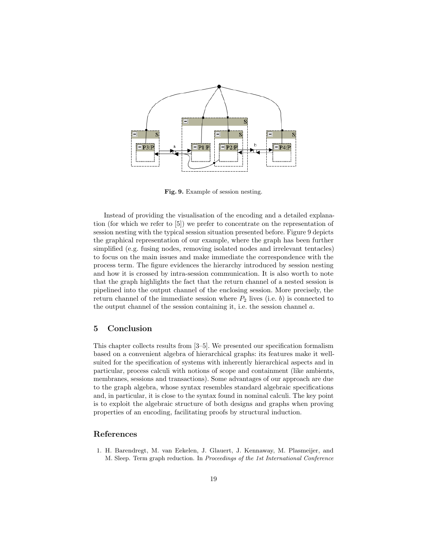

Fig. 9. Example of session nesting.

Instead of providing the visualisation of the encoding and a detailed explanation (for which we refer to [5]) we prefer to concentrate on the representation of session nesting with the typical session situation presented before. Figure 9 depicts the graphical representation of our example, where the graph has been further simplified (e.g. fusing nodes, removing isolated nodes and irrelevant tentacles) to focus on the main issues and make immediate the correspondence with the process term. The figure evidences the hierarchy introduced by session nesting and how it is crossed by intra-session communication. It is also worth to note that the graph highlights the fact that the return channel of a nested session is pipelined into the output channel of the enclosing session. More precisely, the return channel of the immediate session where  $P_2$  lives (i.e. b) is connected to the output channel of the session containing it, i.e. the session channel a.

# 5 Conclusion

This chapter collects results from [3–5]. We presented our specification formalism based on a convenient algebra of hierarchical graphs: its features make it wellsuited for the specification of systems with inherently hierarchical aspects and in particular, process calculi with notions of scope and containment (like ambients, membranes, sessions and transactions). Some advantages of our approach are due to the graph algebra, whose syntax resembles standard algebraic specifications and, in particular, it is close to the syntax found in nominal calculi. The key point is to exploit the algebraic structure of both designs and graphs when proving properties of an encoding, facilitating proofs by structural induction.

### References

1. H. Barendregt, M. van Eekelen, J. Glauert, J. Kennaway, M. Plasmeijer, and M. Sleep. Term graph reduction. In Proceedings of the 1st International Conference